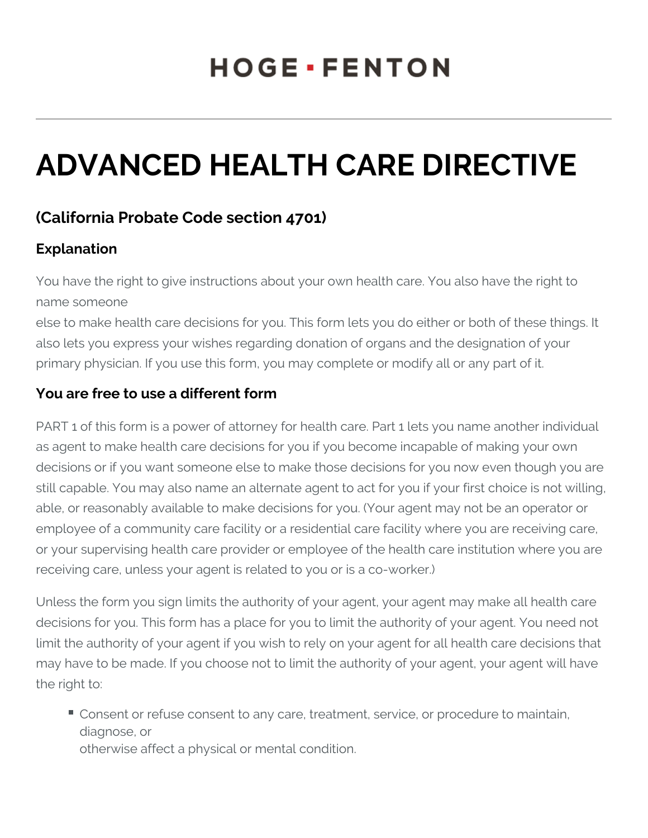# **ADVANCED HEALTH CARE DIRECTIVE**

### **(California Probate Code section 4701)**

#### **Explanation**

You have the right to give instructions about your own health care. You also have the right to name someone

else to make health care decisions for you. This form lets you do either or both of these things. It also lets you express your wishes regarding donation of organs and the designation of your primary physician. If you use this form, you may complete or modify all or any part of it.

#### **You are free to use a different form**

PART 1 of this form is a power of attorney for health care. Part 1 lets you name another individual as agent to make health care decisions for you if you become incapable of making your own decisions or if you want someone else to make those decisions for you now even though you are still capable. You may also name an alternate agent to act for you if your first choice is not willing, able, or reasonably available to make decisions for you. (Your agent may not be an operator or employee of a community care facility or a residential care facility where you are receiving care, or your supervising health care provider or employee of the health care institution where you are receiving care, unless your agent is related to you or is a co-worker.)

Unless the form you sign limits the authority of your agent, your agent may make all health care decisions for you. This form has a place for you to limit the authority of your agent. You need not limit the authority of your agent if you wish to rely on your agent for all health care decisions that may have to be made. If you choose not to limit the authority of your agent, your agent will have the right to:

**Consent or refuse consent to any care, treatment, service, or procedure to maintain,** diagnose, or otherwise affect a physical or mental condition.